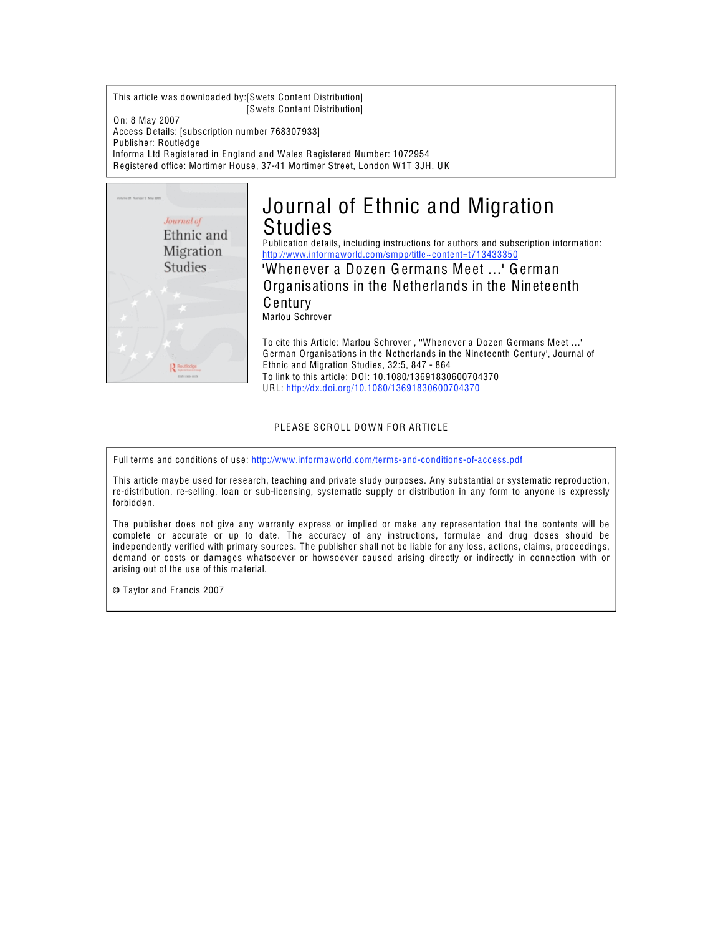This article was downloaded by:[Swets Content Distribution] [Swets Content Distribution]

On: 8 May 2007 Access Details: [subscription number 768307933] Publisher: Routledge Informa Ltd Registered in England and Wales Registered Number: 1072954 Registered office: Mortimer House, 37-41 Mortimer Street, London W1T 3JH, UK



# Journal of Ethnic and Migration Studies

Publication details, including instructions for authors and subscription information: http://www.informaworld.com/smpp/title~content=t[713433350](http://www.informaworld.com/smpp/title~content=t713433350)

'Whenever a Dozen Germans Meet ...' German Organisations in the Netherlands in the Ninete enth Century Marlou Schrover

To cite this Article: Marlou Schrover, "Whenever a Dozen Germans Meet ...' German Organisations in the Netherlands in the Ninete enth Century', Journal of Ethnic and Migration Studies, 32:5, 847 - 864 To link to this article: DOI: 10.1080/13691830600704370 URL: http://dx.doi.org/10.1080/[13691830600704370](http://dx.doi.org/10.1080/13691830600704370)

PLEASE SCROLL DOWN FOR ARTICLE

Full terms and conditions of use: http://www.informaworld.com/t[erms-and-cond](http://www.informaworld.com/terms-and-conditions-of-access.pdf)itions-of-access.pdf

This article maybe used for research, teaching and private study purposes. Any substantial or systematic reproduction, re-distribution, re-selling, loan or sub-licensing, systematic supply or distribution in any form to anyone is expressly forbidden.

The publisher does not give any warranty express or implied or make any representation that the contents will be complete or accurate or up to date. The accuracy of any instructions, formulae and drug doses should be independently verified with primary sources. The publisher shall not be liable for any loss, actions, claims, proce edings, demand or costs or damages whatsoever or howsoever caused arising directly or indirectly in connection with or arising out of the use of this material.

© Taylor and Francis 2007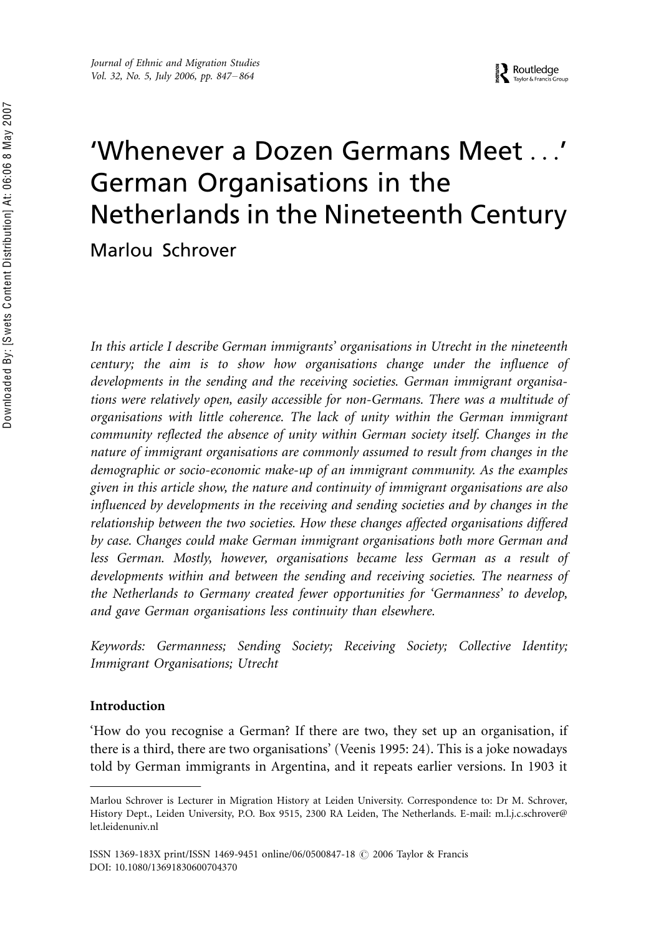# 'Whenever a Dozen Germans Meet . . .' German Organisations in the Netherlands in the Nineteenth Century Marlou Schrover

In this article I describe German immigrants' organisations in Utrecht in the nineteenth century; the aim is to show how organisations change under the influence of developments in the sending and the receiving societies. German immigrant organisations were relatively open, easily accessible for non-Germans. There was a multitude of organisations with little coherence. The lack of unity within the German immigrant community reflected the absence of unity within German society itself. Changes in the nature of immigrant organisations are commonly assumed to result from changes in the demographic or socio-economic make-up of an immigrant community. As the examples given in this article show, the nature and continuity of immigrant organisations are also influenced by developments in the receiving and sending societies and by changes in the relationship between the two societies. How these changes affected organisations differed by case. Changes could make German immigrant organisations both more German and less German. Mostly, however, organisations became less German as a result of developments within and between the sending and receiving societies. The nearness of the Netherlands to Germany created fewer opportunities for 'Germanness' to develop, and gave German organisations less continuity than elsewhere.

Keywords: Germanness; Sending Society; Receiving Society; Collective Identity; Immigrant Organisations; Utrecht

# Introduction

'How do you recognise a German? If there are two, they set up an organisation, if there is a third, there are two organisations' (Veenis 1995: 24). This is a joke nowadays told by German immigrants in Argentina, and it repeats earlier versions. In 1903 it

Marlou Schrover is Lecturer in Migration History at Leiden University. Correspondence to: Dr M. Schrover, History Dept., Leiden University, P.O. Box 9515, 2300 RA Leiden, The Netherlands. E-mail: m.l.j.c.schrover@ let.leidenuniv.nl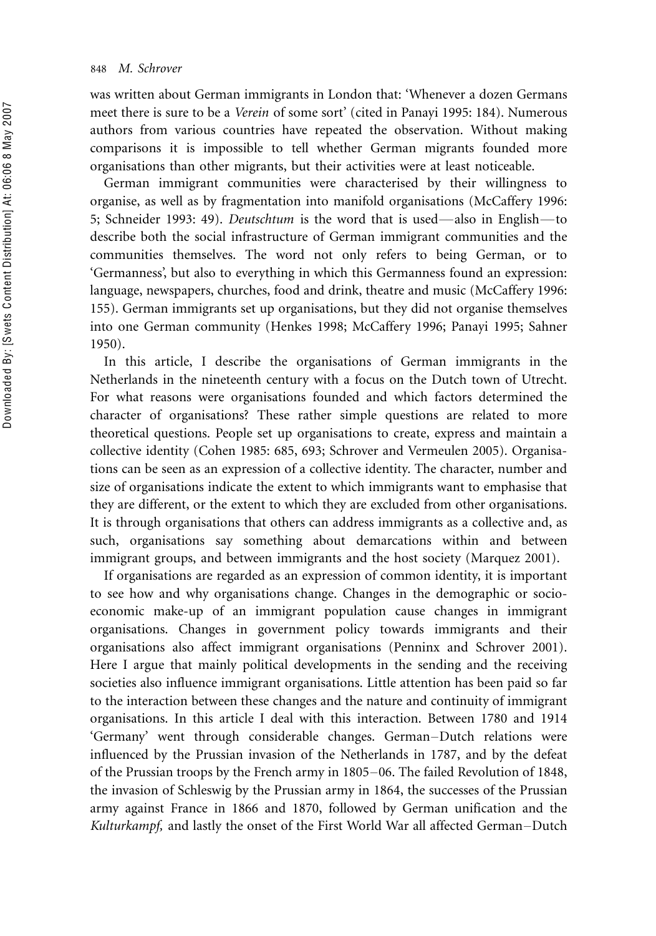was written about German immigrants in London that: 'Whenever a dozen Germans meet there is sure to be a Verein of some sort' (cited in Panayi 1995: 184). Numerous authors from various countries have repeated the observation. Without making comparisons it is impossible to tell whether German migrants founded more organisations than other migrants, but their activities were at least noticeable.

German immigrant communities were characterised by their willingness to organise, as well as by fragmentation into manifold organisations (McCaffery 1996: 5; Schneider 1993: 49). *Deutschtum* is the word that is used—also in English—to describe both the social infrastructure of German immigrant communities and the communities themselves. The word not only refers to being German, or to 'Germanness', but also to everything in which this Germanness found an expression: language, newspapers, churches, food and drink, theatre and music (McCaffery 1996: 155). German immigrants set up organisations, but they did not organise themselves into one German community (Henkes 1998; McCaffery 1996; Panayi 1995; Sahner 1950).

In this article, I describe the organisations of German immigrants in the Netherlands in the nineteenth century with a focus on the Dutch town of Utrecht. For what reasons were organisations founded and which factors determined the character of organisations? These rather simple questions are related to more theoretical questions. People set up organisations to create, express and maintain a collective identity (Cohen 1985: 685, 693; Schrover and Vermeulen 2005). Organisations can be seen as an expression of a collective identity. The character, number and size of organisations indicate the extent to which immigrants want to emphasise that they are different, or the extent to which they are excluded from other organisations. It is through organisations that others can address immigrants as a collective and, as such, organisations say something about demarcations within and between immigrant groups, and between immigrants and the host society (Marquez 2001).

If organisations are regarded as an expression of common identity, it is important to see how and why organisations change. Changes in the demographic or socioeconomic make-up of an immigrant population cause changes in immigrant organisations. Changes in government policy towards immigrants and their organisations also affect immigrant organisations (Penninx and Schrover 2001). Here I argue that mainly political developments in the sending and the receiving societies also influence immigrant organisations. Little attention has been paid so far to the interaction between these changes and the nature and continuity of immigrant organisations. In this article I deal with this interaction. Between 1780 and 1914 'Germany' went through considerable changes. German-Dutch relations were influenced by the Prussian invasion of the Netherlands in 1787, and by the defeat of the Prussian troops by the French army in 1805–06. The failed Revolution of 1848, the invasion of Schleswig by the Prussian army in 1864, the successes of the Prussian army against France in 1866 and 1870, followed by German unification and the Kulturkampf, and lastly the onset of the First World War all affected German-Dutch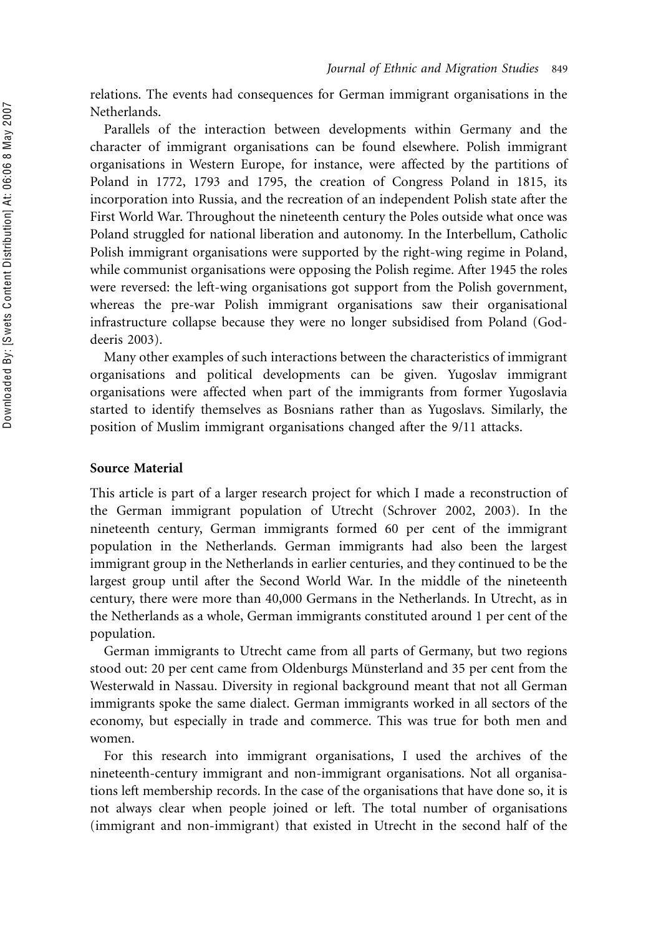relations. The events had consequences for German immigrant organisations in the Netherlands.

Parallels of the interaction between developments within Germany and the character of immigrant organisations can be found elsewhere. Polish immigrant organisations in Western Europe, for instance, were affected by the partitions of Poland in 1772, 1793 and 1795, the creation of Congress Poland in 1815, its incorporation into Russia, and the recreation of an independent Polish state after the First World War. Throughout the nineteenth century the Poles outside what once was Poland struggled for national liberation and autonomy. In the Interbellum, Catholic Polish immigrant organisations were supported by the right-wing regime in Poland, while communist organisations were opposing the Polish regime. After 1945 the roles were reversed: the left-wing organisations got support from the Polish government, whereas the pre-war Polish immigrant organisations saw their organisational infrastructure collapse because they were no longer subsidised from Poland (Goddeeris 2003).

Many other examples of such interactions between the characteristics of immigrant organisations and political developments can be given. Yugoslav immigrant organisations were affected when part of the immigrants from former Yugoslavia started to identify themselves as Bosnians rather than as Yugoslavs. Similarly, the position of Muslim immigrant organisations changed after the 9/11 attacks.

# Source Material

This article is part of a larger research project for which I made a reconstruction of the German immigrant population of Utrecht (Schrover 2002, 2003). In the nineteenth century, German immigrants formed 60 per cent of the immigrant population in the Netherlands. German immigrants had also been the largest immigrant group in the Netherlands in earlier centuries, and they continued to be the largest group until after the Second World War. In the middle of the nineteenth century, there were more than 40,000 Germans in the Netherlands. In Utrecht, as in the Netherlands as a whole, German immigrants constituted around 1 per cent of the population.

German immigrants to Utrecht came from all parts of Germany, but two regions stood out: 20 per cent came from Oldenburgs Münsterland and 35 per cent from the Westerwald in Nassau. Diversity in regional background meant that not all German immigrants spoke the same dialect. German immigrants worked in all sectors of the economy, but especially in trade and commerce. This was true for both men and women.

For this research into immigrant organisations, I used the archives of the nineteenth-century immigrant and non-immigrant organisations. Not all organisations left membership records. In the case of the organisations that have done so, it is not always clear when people joined or left. The total number of organisations (immigrant and non-immigrant) that existed in Utrecht in the second half of the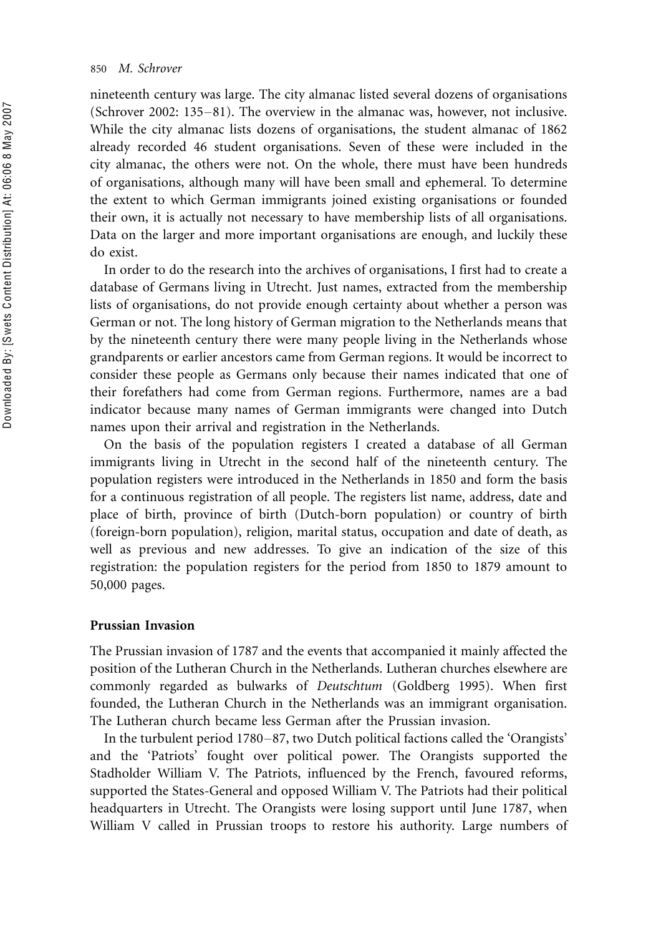nineteenth century was large. The city almanac listed several dozens of organisations (Schrover 2002:  $135-81$ ). The overview in the almanac was, however, not inclusive. While the city almanac lists dozens of organisations, the student almanac of 1862 already recorded 46 student organisations. Seven of these were included in the city almanac, the others were not. On the whole, there must have been hundreds of organisations, although many will have been small and ephemeral. To determine the extent to which German immigrants joined existing organisations or founded their own, it is actually not necessary to have membership lists of all organisations. Data on the larger and more important organisations are enough, and luckily these do exist.

In order to do the research into the archives of organisations, I first had to create a database of Germans living in Utrecht. Just names, extracted from the membership lists of organisations, do not provide enough certainty about whether a person was German or not. The long history of German migration to the Netherlands means that by the nineteenth century there were many people living in the Netherlands whose grandparents or earlier ancestors came from German regions. It would be incorrect to consider these people as Germans only because their names indicated that one of their forefathers had come from German regions. Furthermore, names are a bad indicator because many names of German immigrants were changed into Dutch names upon their arrival and registration in the Netherlands.

On the basis of the population registers I created a database of all German immigrants living in Utrecht in the second half of the nineteenth century. The population registers were introduced in the Netherlands in 1850 and form the basis for a continuous registration of all people. The registers list name, address, date and place of birth, province of birth (Dutch-born population) or country of birth (foreign-born population), religion, marital status, occupation and date of death, as well as previous and new addresses. To give an indication of the size of this registration: the population registers for the period from 1850 to 1879 amount to 50,000 pages.

# Prussian Invasion

The Prussian invasion of 1787 and the events that accompanied it mainly affected the position of the Lutheran Church in the Netherlands. Lutheran churches elsewhere are commonly regarded as bulwarks of Deutschtum (Goldberg 1995). When first founded, the Lutheran Church in the Netherlands was an immigrant organisation. The Lutheran church became less German after the Prussian invasion.

In the turbulent period 1780–87, two Dutch political factions called the 'Orangists' and the 'Patriots' fought over political power. The Orangists supported the Stadholder William V. The Patriots, influenced by the French, favoured reforms, supported the States-General and opposed William V. The Patriots had their political headquarters in Utrecht. The Orangists were losing support until June 1787, when William V called in Prussian troops to restore his authority. Large numbers of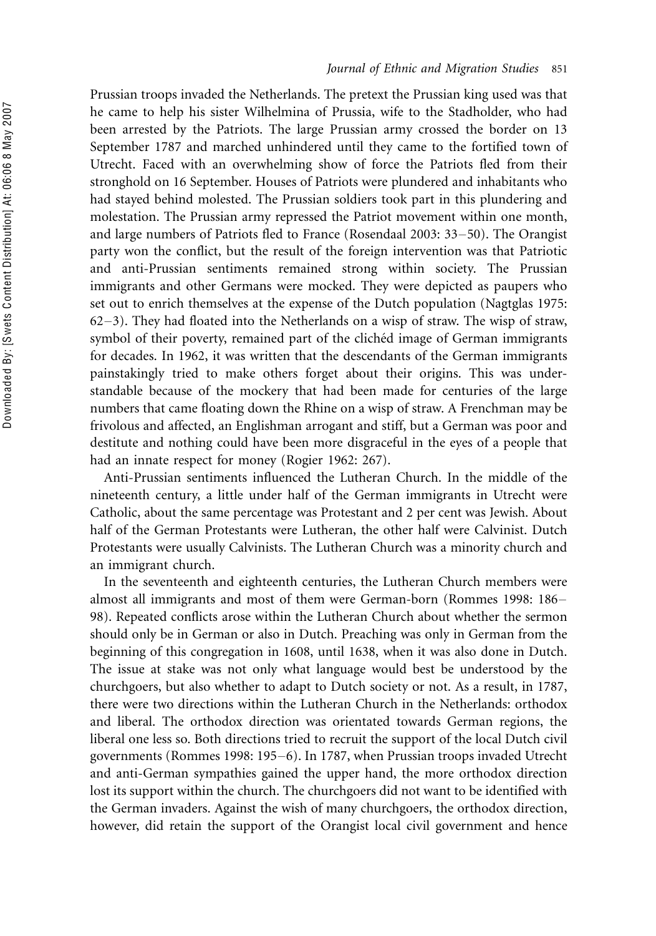Prussian troops invaded the Netherlands. The pretext the Prussian king used was that he came to help his sister Wilhelmina of Prussia, wife to the Stadholder, who had been arrested by the Patriots. The large Prussian army crossed the border on 13 September 1787 and marched unhindered until they came to the fortified town of Utrecht. Faced with an overwhelming show of force the Patriots fled from their stronghold on 16 September. Houses of Patriots were plundered and inhabitants who had stayed behind molested. The Prussian soldiers took part in this plundering and molestation. The Prussian army repressed the Patriot movement within one month, and large numbers of Patriots fled to France (Rosendaal 2003:  $33-50$ ). The Orangist party won the conflict, but the result of the foreign intervention was that Patriotic and anti-Prussian sentiments remained strong within society. The Prussian immigrants and other Germans were mocked. They were depicted as paupers who set out to enrich themselves at the expense of the Dutch population (Nagtglas 1975:  $62-3$ ). They had floated into the Netherlands on a wisp of straw. The wisp of straw, symbol of their poverty, remained part of the clichéd image of German immigrants for decades. In 1962, it was written that the descendants of the German immigrants painstakingly tried to make others forget about their origins. This was understandable because of the mockery that had been made for centuries of the large numbers that came floating down the Rhine on a wisp of straw. A Frenchman may be frivolous and affected, an Englishman arrogant and stiff, but a German was poor and destitute and nothing could have been more disgraceful in the eyes of a people that had an innate respect for money (Rogier 1962: 267).

Anti-Prussian sentiments influenced the Lutheran Church. In the middle of the nineteenth century, a little under half of the German immigrants in Utrecht were Catholic, about the same percentage was Protestant and 2 per cent was Jewish. About half of the German Protestants were Lutheran, the other half were Calvinist. Dutch Protestants were usually Calvinists. The Lutheran Church was a minority church and an immigrant church.

In the seventeenth and eighteenth centuries, the Lutheran Church members were almost all immigrants and most of them were German-born (Rommes 1998: 186-98). Repeated conflicts arose within the Lutheran Church about whether the sermon should only be in German or also in Dutch. Preaching was only in German from the beginning of this congregation in 1608, until 1638, when it was also done in Dutch. The issue at stake was not only what language would best be understood by the churchgoers, but also whether to adapt to Dutch society or not. As a result, in 1787, there were two directions within the Lutheran Church in the Netherlands: orthodox and liberal. The orthodox direction was orientated towards German regions, the liberal one less so. Both directions tried to recruit the support of the local Dutch civil governments (Rommes 1998: 195-6). In 1787, when Prussian troops invaded Utrecht and anti-German sympathies gained the upper hand, the more orthodox direction lost its support within the church. The churchgoers did not want to be identified with the German invaders. Against the wish of many churchgoers, the orthodox direction, however, did retain the support of the Orangist local civil government and hence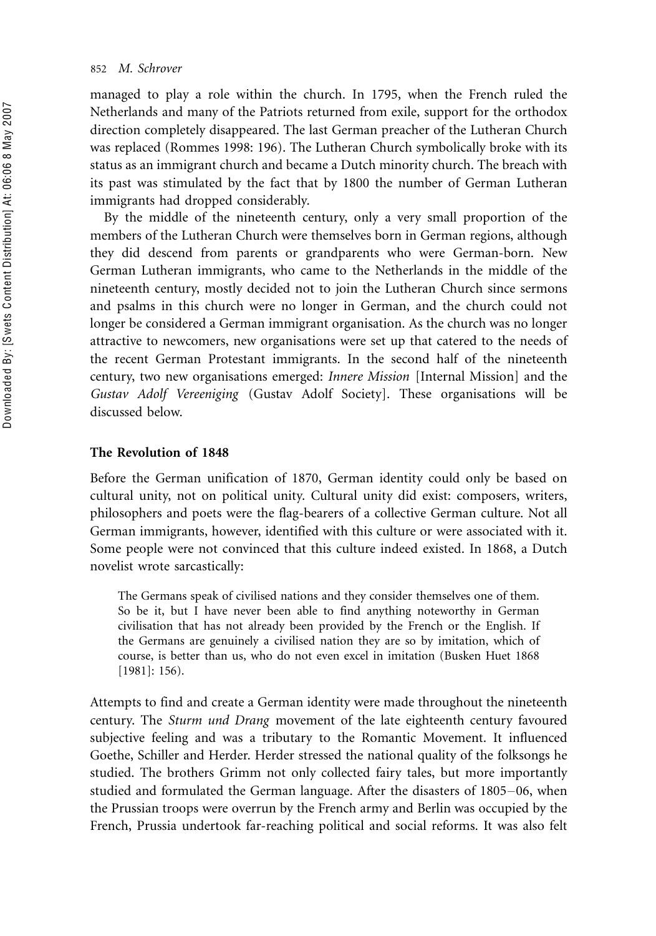managed to play a role within the church. In 1795, when the French ruled the Netherlands and many of the Patriots returned from exile, support for the orthodox direction completely disappeared. The last German preacher of the Lutheran Church was replaced (Rommes 1998: 196). The Lutheran Church symbolically broke with its status as an immigrant church and became a Dutch minority church. The breach with its past was stimulated by the fact that by 1800 the number of German Lutheran immigrants had dropped considerably.

By the middle of the nineteenth century, only a very small proportion of the members of the Lutheran Church were themselves born in German regions, although they did descend from parents or grandparents who were German-born. New German Lutheran immigrants, who came to the Netherlands in the middle of the nineteenth century, mostly decided not to join the Lutheran Church since sermons and psalms in this church were no longer in German, and the church could not longer be considered a German immigrant organisation. As the church was no longer attractive to newcomers, new organisations were set up that catered to the needs of the recent German Protestant immigrants. In the second half of the nineteenth century, two new organisations emerged: Innere Mission [Internal Mission] and the Gustav Adolf Vereeniging (Gustav Adolf Society]. These organisations will be discussed below.

# The Revolution of 1848

Before the German unification of 1870, German identity could only be based on cultural unity, not on political unity. Cultural unity did exist: composers, writers, philosophers and poets were the flag-bearers of a collective German culture. Not all German immigrants, however, identified with this culture or were associated with it. Some people were not convinced that this culture indeed existed. In 1868, a Dutch novelist wrote sarcastically:

The Germans speak of civilised nations and they consider themselves one of them. So be it, but I have never been able to find anything noteworthy in German civilisation that has not already been provided by the French or the English. If the Germans are genuinely a civilised nation they are so by imitation, which of course, is better than us, who do not even excel in imitation (Busken Huet 1868 [1981]: 156).

Attempts to find and create a German identity were made throughout the nineteenth century. The Sturm und Drang movement of the late eighteenth century favoured subjective feeling and was a tributary to the Romantic Movement. It influenced Goethe, Schiller and Herder. Herder stressed the national quality of the folksongs he studied. The brothers Grimm not only collected fairy tales, but more importantly studied and formulated the German language. After the disasters of 1805-06, when the Prussian troops were overrun by the French army and Berlin was occupied by the French, Prussia undertook far-reaching political and social reforms. It was also felt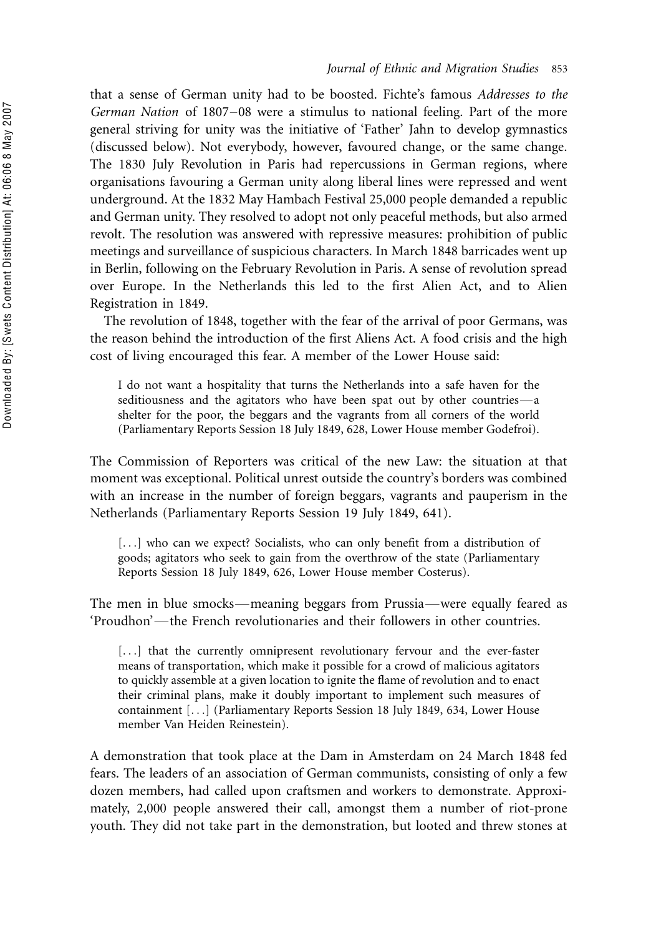that a sense of German unity had to be boosted. Fichte's famous Addresses to the German Nation of 1807-08 were a stimulus to national feeling. Part of the more general striving for unity was the initiative of 'Father' Jahn to develop gymnastics (discussed below). Not everybody, however, favoured change, or the same change. The 1830 July Revolution in Paris had repercussions in German regions, where organisations favouring a German unity along liberal lines were repressed and went underground. At the 1832 May Hambach Festival 25,000 people demanded a republic and German unity. They resolved to adopt not only peaceful methods, but also armed revolt. The resolution was answered with repressive measures: prohibition of public meetings and surveillance of suspicious characters. In March 1848 barricades went up in Berlin, following on the February Revolution in Paris. A sense of revolution spread over Europe. In the Netherlands this led to the first Alien Act, and to Alien Registration in 1849.

The revolution of 1848, together with the fear of the arrival of poor Germans, was the reason behind the introduction of the first Aliens Act. A food crisis and the high cost of living encouraged this fear. A member of the Lower House said:

I do not want a hospitality that turns the Netherlands into a safe haven for the seditiousness and the agitators who have been spat out by other countries-a shelter for the poor, the beggars and the vagrants from all corners of the world (Parliamentary Reports Session 18 July 1849, 628, Lower House member Godefroi).

The Commission of Reporters was critical of the new Law: the situation at that moment was exceptional. Political unrest outside the country's borders was combined with an increase in the number of foreign beggars, vagrants and pauperism in the Netherlands (Parliamentary Reports Session 19 July 1849, 641).

[...] who can we expect? Socialists, who can only benefit from a distribution of goods; agitators who seek to gain from the overthrow of the state (Parliamentary Reports Session 18 July 1849, 626, Lower House member Costerus).

The men in blue smocks—meaning beggars from Prussia—were equally feared as  $'Proudbon'$ —the French revolutionaries and their followers in other countries.

[...] that the currently omnipresent revolutionary fervour and the ever-faster means of transportation, which make it possible for a crowd of malicious agitators to quickly assemble at a given location to ignite the flame of revolution and to enact their criminal plans, make it doubly important to implement such measures of containment [. . .] (Parliamentary Reports Session 18 July 1849, 634, Lower House member Van Heiden Reinestein).

A demonstration that took place at the Dam in Amsterdam on 24 March 1848 fed fears. The leaders of an association of German communists, consisting of only a few dozen members, had called upon craftsmen and workers to demonstrate. Approximately, 2,000 people answered their call, amongst them a number of riot-prone youth. They did not take part in the demonstration, but looted and threw stones at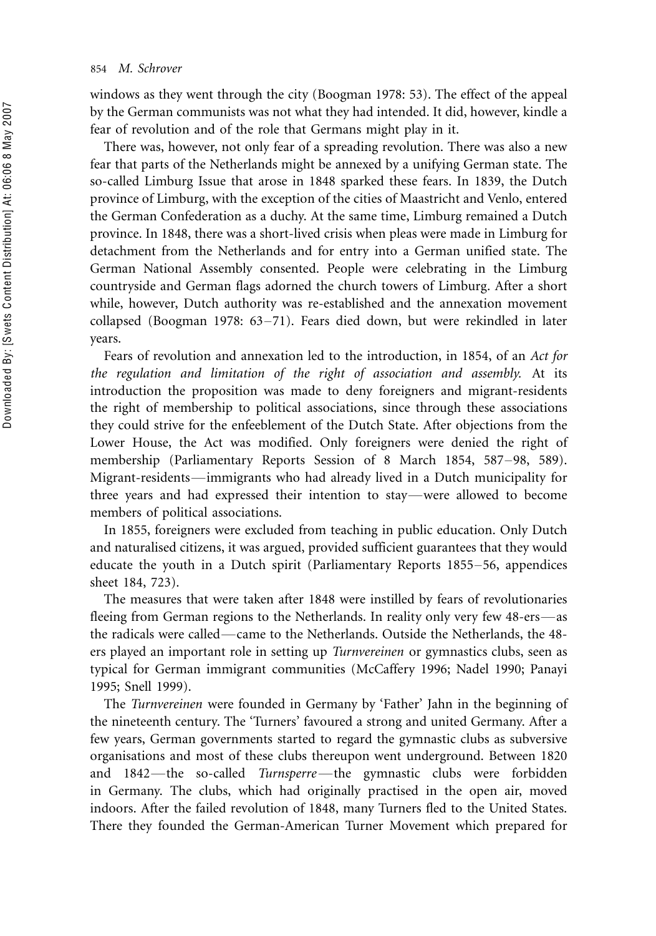windows as they went through the city (Boogman 1978: 53). The effect of the appeal by the German communists was not what they had intended. It did, however, kindle a fear of revolution and of the role that Germans might play in it.

There was, however, not only fear of a spreading revolution. There was also a new fear that parts of the Netherlands might be annexed by a unifying German state. The so-called Limburg Issue that arose in 1848 sparked these fears. In 1839, the Dutch province of Limburg, with the exception of the cities of Maastricht and Venlo, entered the German Confederation as a duchy. At the same time, Limburg remained a Dutch province. In 1848, there was a short-lived crisis when pleas were made in Limburg for detachment from the Netherlands and for entry into a German unified state. The German National Assembly consented. People were celebrating in the Limburg countryside and German flags adorned the church towers of Limburg. After a short while, however, Dutch authority was re-established and the annexation movement collapsed (Boogman 1978:  $63-71$ ). Fears died down, but were rekindled in later years.

Fears of revolution and annexation led to the introduction, in 1854, of an Act for the regulation and limitation of the right of association and assembly. At its introduction the proposition was made to deny foreigners and migrant-residents the right of membership to political associations, since through these associations they could strive for the enfeeblement of the Dutch State. After objections from the Lower House, the Act was modified. Only foreigners were denied the right of membership (Parliamentary Reports Session of 8 March 1854, 587-98, 589). Migrant-residents—immigrants who had already lived in a Dutch municipality for three years and had expressed their intention to stay—were allowed to become members of political associations.

In 1855, foreigners were excluded from teaching in public education. Only Dutch and naturalised citizens, it was argued, provided sufficient guarantees that they would educate the youth in a Dutch spirit (Parliamentary Reports  $1855-56$ , appendices sheet 184, 723).

The measures that were taken after 1848 were instilled by fears of revolutionaries fleeing from German regions to the Netherlands. In reality only very few 48-ers—as the radicals were called—came to the Netherlands. Outside the Netherlands, the 48ers played an important role in setting up Turnvereinen or gymnastics clubs, seen as typical for German immigrant communities (McCaffery 1996; Nadel 1990; Panayi 1995; Snell 1999).

The Turnvereinen were founded in Germany by 'Father' Jahn in the beginning of the nineteenth century. The 'Turners' favoured a strong and united Germany. After a few years, German governments started to regard the gymnastic clubs as subversive organisations and most of these clubs thereupon went underground. Between 1820 and 1842-the so-called Turnsperre-the gymnastic clubs were forbidden in Germany. The clubs, which had originally practised in the open air, moved indoors. After the failed revolution of 1848, many Turners fled to the United States. There they founded the German-American Turner Movement which prepared for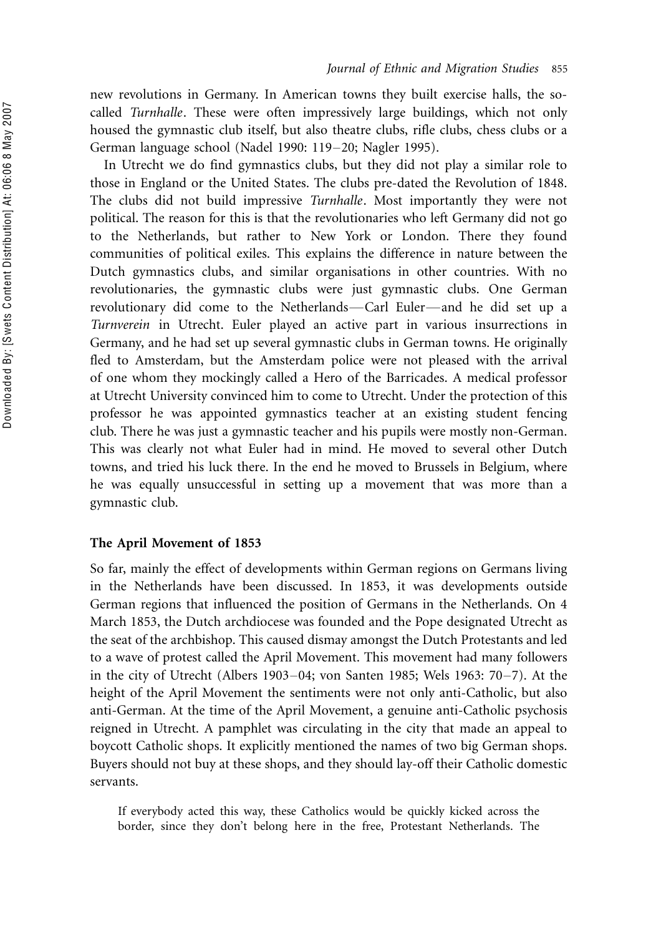new revolutions in Germany. In American towns they built exercise halls, the socalled Turnhalle. These were often impressively large buildings, which not only housed the gymnastic club itself, but also theatre clubs, rifle clubs, chess clubs or a German language school (Nadel 1990: 119-20; Nagler 1995).

In Utrecht we do find gymnastics clubs, but they did not play a similar role to those in England or the United States. The clubs pre-dated the Revolution of 1848. The clubs did not build impressive Turnhalle. Most importantly they were not political. The reason for this is that the revolutionaries who left Germany did not go to the Netherlands, but rather to New York or London. There they found communities of political exiles. This explains the difference in nature between the Dutch gymnastics clubs, and similar organisations in other countries. With no revolutionaries, the gymnastic clubs were just gymnastic clubs. One German revolutionary did come to the Netherlands—Carl Euler—and he did set up a Turnverein in Utrecht. Euler played an active part in various insurrections in Germany, and he had set up several gymnastic clubs in German towns. He originally fled to Amsterdam, but the Amsterdam police were not pleased with the arrival of one whom they mockingly called a Hero of the Barricades. A medical professor at Utrecht University convinced him to come to Utrecht. Under the protection of this professor he was appointed gymnastics teacher at an existing student fencing club. There he was just a gymnastic teacher and his pupils were mostly non-German. This was clearly not what Euler had in mind. He moved to several other Dutch towns, and tried his luck there. In the end he moved to Brussels in Belgium, where he was equally unsuccessful in setting up a movement that was more than a gymnastic club.

#### The April Movement of 1853

So far, mainly the effect of developments within German regions on Germans living in the Netherlands have been discussed. In 1853, it was developments outside German regions that influenced the position of Germans in the Netherlands. On 4 March 1853, the Dutch archdiocese was founded and the Pope designated Utrecht as the seat of the archbishop. This caused dismay amongst the Dutch Protestants and led to a wave of protest called the April Movement. This movement had many followers in the city of Utrecht (Albers 1903–04; von Santen 1985; Wels 1963: 70–7). At the height of the April Movement the sentiments were not only anti-Catholic, but also anti-German. At the time of the April Movement, a genuine anti-Catholic psychosis reigned in Utrecht. A pamphlet was circulating in the city that made an appeal to boycott Catholic shops. It explicitly mentioned the names of two big German shops. Buyers should not buy at these shops, and they should lay-off their Catholic domestic servants.

If everybody acted this way, these Catholics would be quickly kicked across the border, since they don't belong here in the free, Protestant Netherlands. The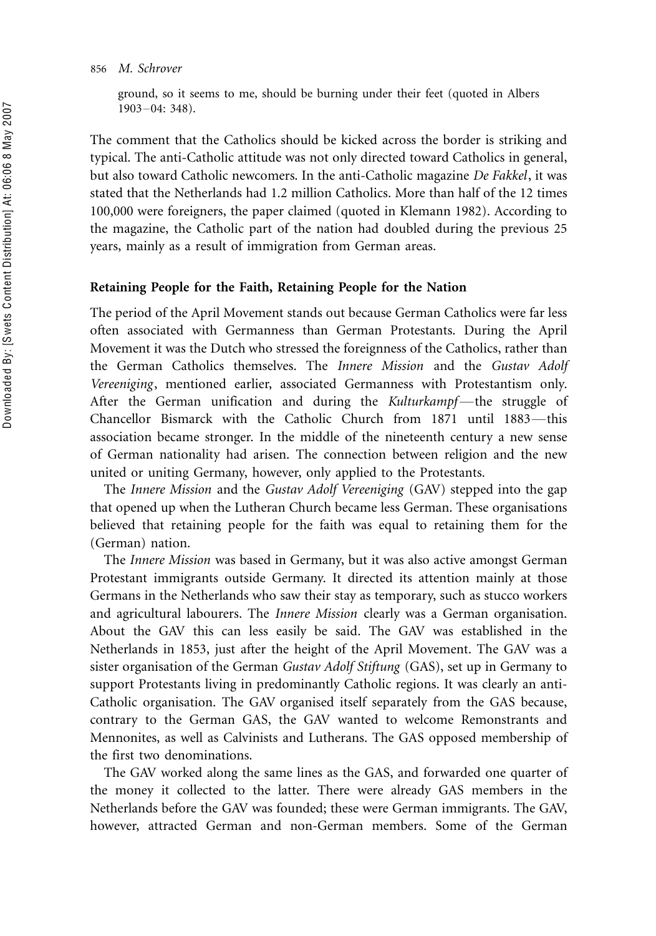#### 856 M. Schrover

ground, so it seems to me, should be burning under their feet (quoted in Albers  $1903 - 04: 348$ .

The comment that the Catholics should be kicked across the border is striking and typical. The anti-Catholic attitude was not only directed toward Catholics in general, but also toward Catholic newcomers. In the anti-Catholic magazine De Fakkel, it was stated that the Netherlands had 1.2 million Catholics. More than half of the 12 times 100,000 were foreigners, the paper claimed (quoted in Klemann 1982). According to the magazine, the Catholic part of the nation had doubled during the previous 25 years, mainly as a result of immigration from German areas.

## Retaining People for the Faith, Retaining People for the Nation

The period of the April Movement stands out because German Catholics were far less often associated with Germanness than German Protestants. During the April Movement it was the Dutch who stressed the foreignness of the Catholics, rather than the German Catholics themselves. The Innere Mission and the Gustav Adolf Vereeniging, mentioned earlier, associated Germanness with Protestantism only. After the German unification and during the Kulturkampf—the struggle of Chancellor Bismarck with the Catholic Church from 1871 until 1883—this association became stronger. In the middle of the nineteenth century a new sense of German nationality had arisen. The connection between religion and the new united or uniting Germany, however, only applied to the Protestants.

The Innere Mission and the Gustav Adolf Vereeniging (GAV) stepped into the gap that opened up when the Lutheran Church became less German. These organisations believed that retaining people for the faith was equal to retaining them for the (German) nation.

The Innere Mission was based in Germany, but it was also active amongst German Protestant immigrants outside Germany. It directed its attention mainly at those Germans in the Netherlands who saw their stay as temporary, such as stucco workers and agricultural labourers. The Innere Mission clearly was a German organisation. About the GAV this can less easily be said. The GAV was established in the Netherlands in 1853, just after the height of the April Movement. The GAV was a sister organisation of the German Gustav Adolf Stiftung (GAS), set up in Germany to support Protestants living in predominantly Catholic regions. It was clearly an anti-Catholic organisation. The GAV organised itself separately from the GAS because, contrary to the German GAS, the GAV wanted to welcome Remonstrants and Mennonites, as well as Calvinists and Lutherans. The GAS opposed membership of the first two denominations.

The GAV worked along the same lines as the GAS, and forwarded one quarter of the money it collected to the latter. There were already GAS members in the Netherlands before the GAV was founded; these were German immigrants. The GAV, however, attracted German and non-German members. Some of the German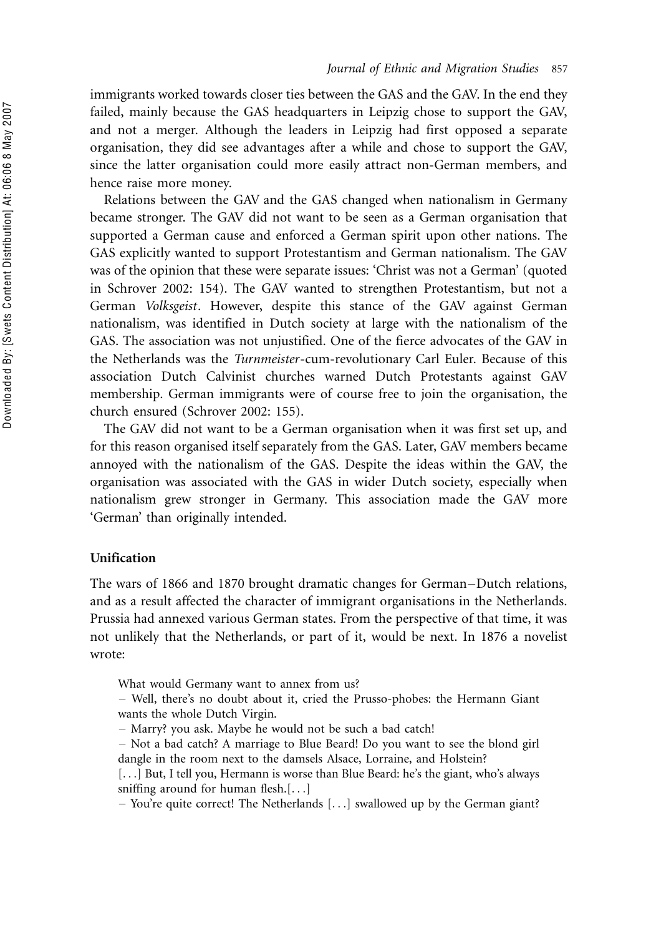immigrants worked towards closer ties between the GAS and the GAV. In the end they failed, mainly because the GAS headquarters in Leipzig chose to support the GAV, and not a merger. Although the leaders in Leipzig had first opposed a separate organisation, they did see advantages after a while and chose to support the GAV, since the latter organisation could more easily attract non-German members, and hence raise more money.

Relations between the GAV and the GAS changed when nationalism in Germany became stronger. The GAV did not want to be seen as a German organisation that supported a German cause and enforced a German spirit upon other nations. The GAS explicitly wanted to support Protestantism and German nationalism. The GAV was of the opinion that these were separate issues: 'Christ was not a German' (quoted in Schrover 2002: 154). The GAV wanted to strengthen Protestantism, but not a German Volksgeist. However, despite this stance of the GAV against German nationalism, was identified in Dutch society at large with the nationalism of the GAS. The association was not unjustified. One of the fierce advocates of the GAV in the Netherlands was the Turnmeister-cum-revolutionary Carl Euler. Because of this association Dutch Calvinist churches warned Dutch Protestants against GAV membership. German immigrants were of course free to join the organisation, the church ensured (Schrover 2002: 155).

The GAV did not want to be a German organisation when it was first set up, and for this reason organised itself separately from the GAS. Later, GAV members became annoyed with the nationalism of the GAS. Despite the ideas within the GAV, the organisation was associated with the GAS in wider Dutch society, especially when nationalism grew stronger in Germany. This association made the GAV more 'German' than originally intended.

# Unification

The wars of 1866 and 1870 brought dramatic changes for German-Dutch relations, and as a result affected the character of immigrant organisations in the Netherlands. Prussia had annexed various German states. From the perspective of that time, it was not unlikely that the Netherlands, or part of it, would be next. In 1876 a novelist wrote:

What would Germany want to annex from us?

- ! Well, there's no doubt about it, cried the Prusso-phobes: the Hermann Giant wants the whole Dutch Virgin.
- ! Marry? you ask. Maybe he would not be such a bad catch!
- ! Not a bad catch? A marriage to Blue Beard! Do you want to see the blond girl dangle in the room next to the damsels Alsace, Lorraine, and Holstein?
- [...] But, I tell you, Hermann is worse than Blue Beard: he's the giant, who's always sniffing around for human flesh.[. . .]

! You're quite correct! The Netherlands [. . .] swallowed up by the German giant?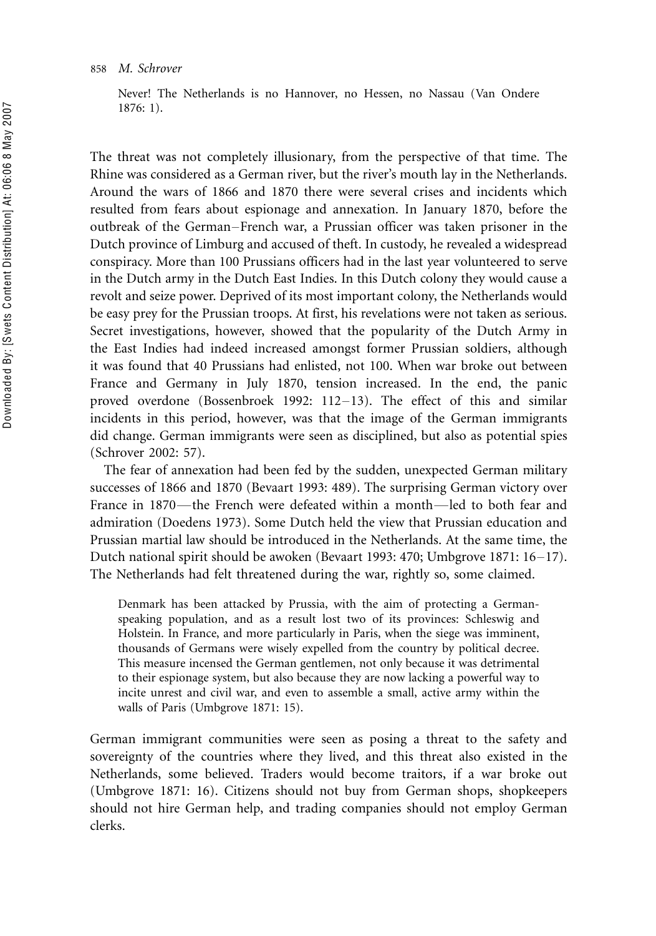Never! The Netherlands is no Hannover, no Hessen, no Nassau (Van Ondere 1876: 1).

The threat was not completely illusionary, from the perspective of that time. The Rhine was considered as a German river, but the river's mouth lay in the Netherlands. Around the wars of 1866 and 1870 there were several crises and incidents which resulted from fears about espionage and annexation. In January 1870, before the outbreak of the German-French war, a Prussian officer was taken prisoner in the Dutch province of Limburg and accused of theft. In custody, he revealed a widespread conspiracy. More than 100 Prussians officers had in the last year volunteered to serve in the Dutch army in the Dutch East Indies. In this Dutch colony they would cause a revolt and seize power. Deprived of its most important colony, the Netherlands would be easy prey for the Prussian troops. At first, his revelations were not taken as serious. Secret investigations, however, showed that the popularity of the Dutch Army in the East Indies had indeed increased amongst former Prussian soldiers, although it was found that 40 Prussians had enlisted, not 100. When war broke out between France and Germany in July 1870, tension increased. In the end, the panic proved overdone (Bossenbroek 1992:  $112-13$ ). The effect of this and similar incidents in this period, however, was that the image of the German immigrants did change. German immigrants were seen as disciplined, but also as potential spies (Schrover 2002: 57).

The fear of annexation had been fed by the sudden, unexpected German military successes of 1866 and 1870 (Bevaart 1993: 489). The surprising German victory over France in 1870—the French were defeated within a month—led to both fear and admiration (Doedens 1973). Some Dutch held the view that Prussian education and Prussian martial law should be introduced in the Netherlands. At the same time, the Dutch national spirit should be awoken (Bevaart 1993: 470; Umbgrove 1871:  $16-17$ ). The Netherlands had felt threatened during the war, rightly so, some claimed.

Denmark has been attacked by Prussia, with the aim of protecting a Germanspeaking population, and as a result lost two of its provinces: Schleswig and Holstein. In France, and more particularly in Paris, when the siege was imminent, thousands of Germans were wisely expelled from the country by political decree. This measure incensed the German gentlemen, not only because it was detrimental to their espionage system, but also because they are now lacking a powerful way to incite unrest and civil war, and even to assemble a small, active army within the walls of Paris (Umbgrove 1871: 15).

German immigrant communities were seen as posing a threat to the safety and sovereignty of the countries where they lived, and this threat also existed in the Netherlands, some believed. Traders would become traitors, if a war broke out (Umbgrove 1871: 16). Citizens should not buy from German shops, shopkeepers should not hire German help, and trading companies should not employ German clerks.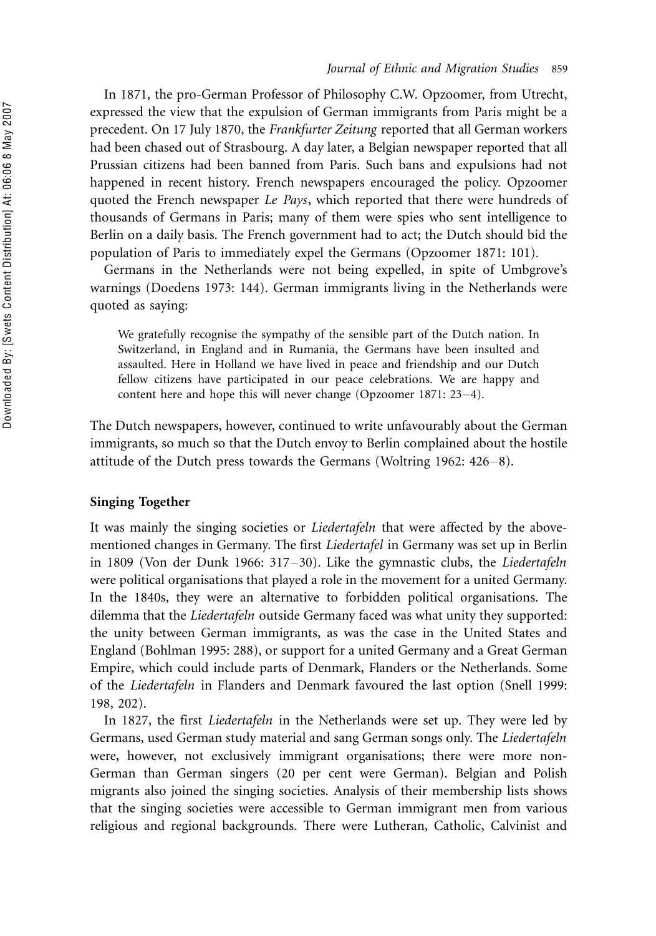In 1871, the pro-German Professor of Philosophy C.W. Opzoomer, from Utrecht, expressed the view that the expulsion of German immigrants from Paris might be a precedent. On 17 July 1870, the Frankfurter Zeitung reported that all German workers had been chased out of Strasbourg. A day later, a Belgian newspaper reported that all Prussian citizens had been banned from Paris. Such bans and expulsions had not happened in recent history. French newspapers encouraged the policy. Opzoomer quoted the French newspaper Le Pays, which reported that there were hundreds of thousands of Germans in Paris; many of them were spies who sent intelligence to Berlin on a daily basis. The French government had to act; the Dutch should bid the population of Paris to immediately expel the Germans (Opzoomer 1871: 101).

Germans in the Netherlands were not being expelled, in spite of Umbgrove's warnings (Doedens 1973: 144). German immigrants living in the Netherlands were quoted as saying:

We gratefully recognise the sympathy of the sensible part of the Dutch nation. In Switzerland, in England and in Rumania, the Germans have been insulted and assaulted. Here in Holland we have lived in peace and friendship and our Dutch fellow citizens have participated in our peace celebrations. We are happy and content here and hope this will never change (Opzoomer 1871:  $23-4$ ).

The Dutch newspapers, however, continued to write unfavourably about the German immigrants, so much so that the Dutch envoy to Berlin complained about the hostile attitude of the Dutch press towards the Germans (Woltring 1962:  $426-8$ ).

# Singing Together

It was mainly the singing societies or *Liedertafeln* that were affected by the abovementioned changes in Germany. The first Liedertafel in Germany was set up in Berlin in 1809 (Von der Dunk 1966:  $317-30$ ). Like the gymnastic clubs, the *Liedertafeln* were political organisations that played a role in the movement for a united Germany. In the 1840s, they were an alternative to forbidden political organisations. The dilemma that the *Liedertafeln* outside Germany faced was what unity they supported: the unity between German immigrants, as was the case in the United States and England (Bohlman 1995: 288), or support for a united Germany and a Great German Empire, which could include parts of Denmark, Flanders or the Netherlands. Some of the Liedertafeln in Flanders and Denmark favoured the last option (Snell 1999: 198, 202).

In 1827, the first *Liedertafeln* in the Netherlands were set up. They were led by Germans, used German study material and sang German songs only. The Liedertafeln were, however, not exclusively immigrant organisations; there were more non-German than German singers (20 per cent were German). Belgian and Polish migrants also joined the singing societies. Analysis of their membership lists shows that the singing societies were accessible to German immigrant men from various religious and regional backgrounds. There were Lutheran, Catholic, Calvinist and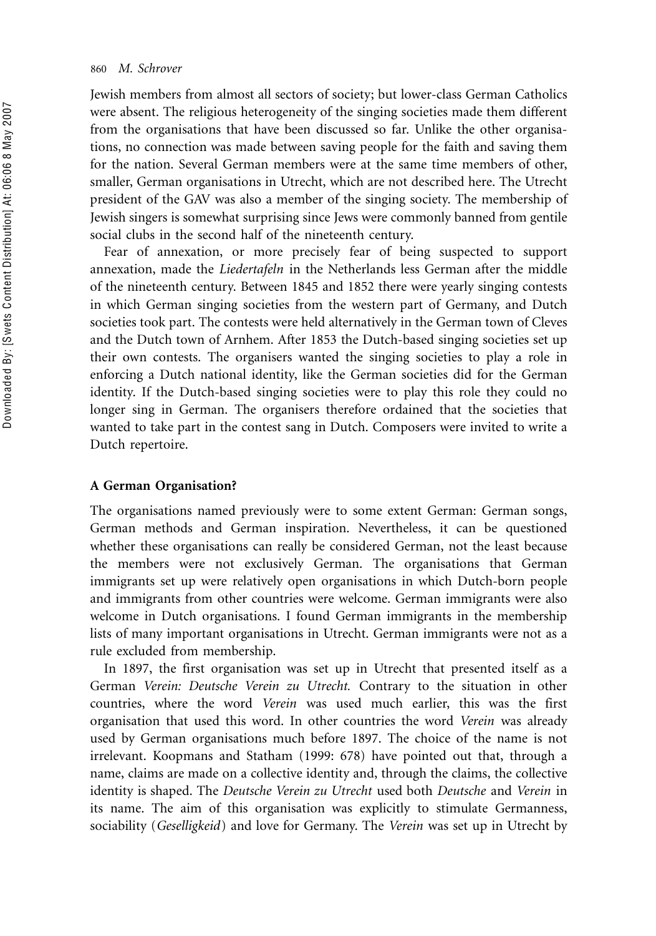Jewish members from almost all sectors of society; but lower-class German Catholics were absent. The religious heterogeneity of the singing societies made them different from the organisations that have been discussed so far. Unlike the other organisations, no connection was made between saving people for the faith and saving them for the nation. Several German members were at the same time members of other, smaller, German organisations in Utrecht, which are not described here. The Utrecht president of the GAV was also a member of the singing society. The membership of Jewish singers is somewhat surprising since Jews were commonly banned from gentile social clubs in the second half of the nineteenth century.

Fear of annexation, or more precisely fear of being suspected to support annexation, made the Liedertafeln in the Netherlands less German after the middle of the nineteenth century. Between 1845 and 1852 there were yearly singing contests in which German singing societies from the western part of Germany, and Dutch societies took part. The contests were held alternatively in the German town of Cleves and the Dutch town of Arnhem. After 1853 the Dutch-based singing societies set up their own contests. The organisers wanted the singing societies to play a role in enforcing a Dutch national identity, like the German societies did for the German identity. If the Dutch-based singing societies were to play this role they could no longer sing in German. The organisers therefore ordained that the societies that wanted to take part in the contest sang in Dutch. Composers were invited to write a Dutch repertoire.

## A German Organisation?

The organisations named previously were to some extent German: German songs, German methods and German inspiration. Nevertheless, it can be questioned whether these organisations can really be considered German, not the least because the members were not exclusively German. The organisations that German immigrants set up were relatively open organisations in which Dutch-born people and immigrants from other countries were welcome. German immigrants were also welcome in Dutch organisations. I found German immigrants in the membership lists of many important organisations in Utrecht. German immigrants were not as a rule excluded from membership.

In 1897, the first organisation was set up in Utrecht that presented itself as a German Verein: Deutsche Verein zu Utrecht. Contrary to the situation in other countries, where the word Verein was used much earlier, this was the first organisation that used this word. In other countries the word Verein was already used by German organisations much before 1897. The choice of the name is not irrelevant. Koopmans and Statham (1999: 678) have pointed out that, through a name, claims are made on a collective identity and, through the claims, the collective identity is shaped. The Deutsche Verein zu Utrecht used both Deutsche and Verein in its name. The aim of this organisation was explicitly to stimulate Germanness, sociability (Geselligkeid) and love for Germany. The Verein was set up in Utrecht by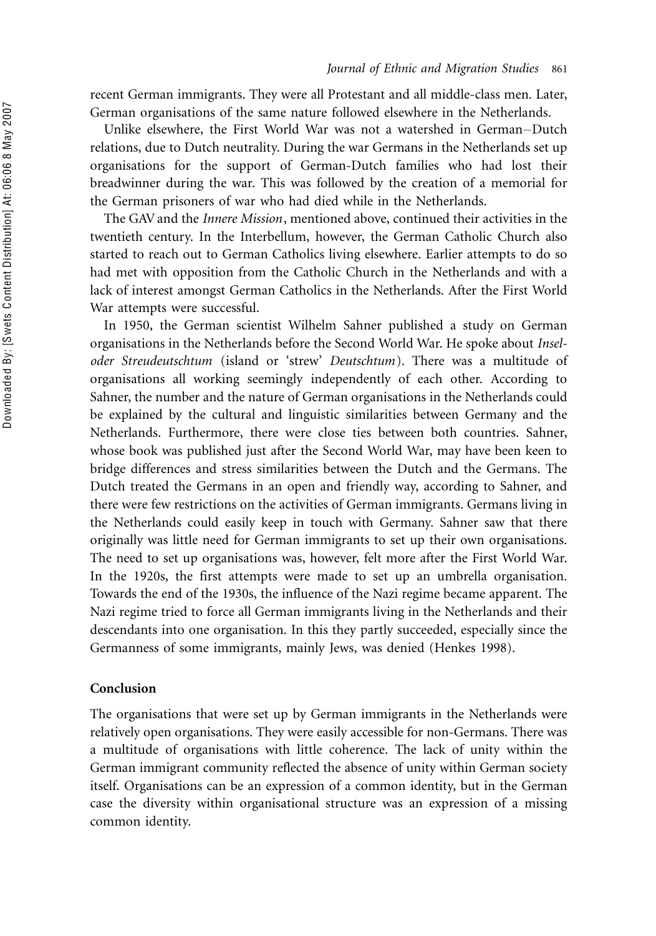recent German immigrants. They were all Protestant and all middle-class men. Later, German organisations of the same nature followed elsewhere in the Netherlands.

Unlike elsewhere, the First World War was not a watershed in German-Dutch relations, due to Dutch neutrality. During the war Germans in the Netherlands set up organisations for the support of German-Dutch families who had lost their breadwinner during the war. This was followed by the creation of a memorial for the German prisoners of war who had died while in the Netherlands.

The GAVand the Innere Mission, mentioned above, continued their activities in the twentieth century. In the Interbellum, however, the German Catholic Church also started to reach out to German Catholics living elsewhere. Earlier attempts to do so had met with opposition from the Catholic Church in the Netherlands and with a lack of interest amongst German Catholics in the Netherlands. After the First World War attempts were successful.

In 1950, the German scientist Wilhelm Sahner published a study on German organisations in the Netherlands before the Second World War. He spoke about Inseloder Streudeutschtum (island or 'strew' Deutschtum). There was a multitude of organisations all working seemingly independently of each other. According to Sahner, the number and the nature of German organisations in the Netherlands could be explained by the cultural and linguistic similarities between Germany and the Netherlands. Furthermore, there were close ties between both countries. Sahner, whose book was published just after the Second World War, may have been keen to bridge differences and stress similarities between the Dutch and the Germans. The Dutch treated the Germans in an open and friendly way, according to Sahner, and there were few restrictions on the activities of German immigrants. Germans living in the Netherlands could easily keep in touch with Germany. Sahner saw that there originally was little need for German immigrants to set up their own organisations. The need to set up organisations was, however, felt more after the First World War. In the 1920s, the first attempts were made to set up an umbrella organisation. Towards the end of the 1930s, the influence of the Nazi regime became apparent. The Nazi regime tried to force all German immigrants living in the Netherlands and their descendants into one organisation. In this they partly succeeded, especially since the Germanness of some immigrants, mainly Jews, was denied (Henkes 1998).

# Conclusion

The organisations that were set up by German immigrants in the Netherlands were relatively open organisations. They were easily accessible for non-Germans. There was a multitude of organisations with little coherence. The lack of unity within the German immigrant community reflected the absence of unity within German society itself. Organisations can be an expression of a common identity, but in the German case the diversity within organisational structure was an expression of a missing common identity.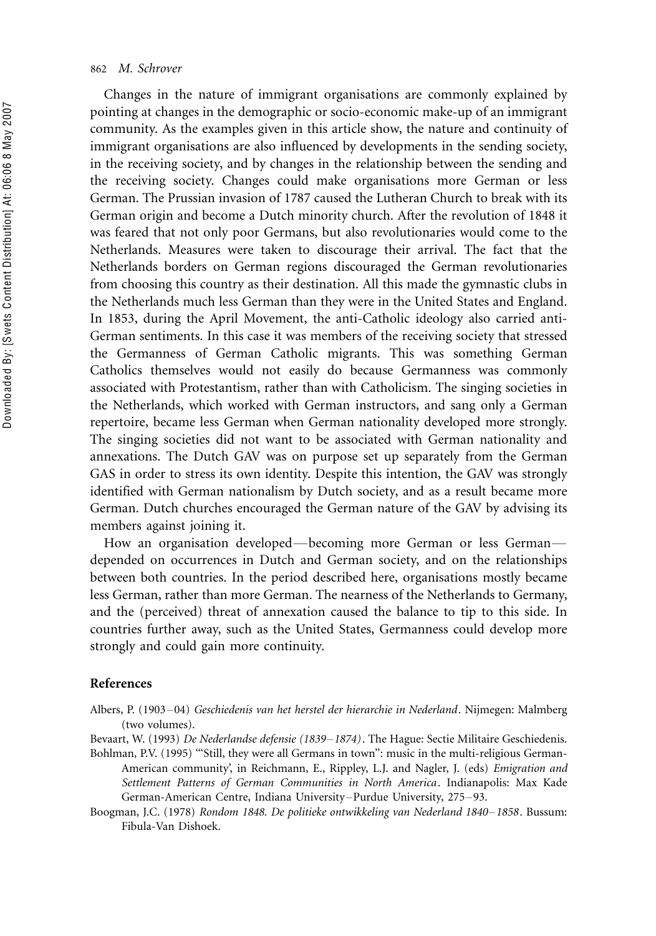Changes in the nature of immigrant organisations are commonly explained by pointing at changes in the demographic or socio-economic make-up of an immigrant community. As the examples given in this article show, the nature and continuity of immigrant organisations are also influenced by developments in the sending society, in the receiving society, and by changes in the relationship between the sending and the receiving society. Changes could make organisations more German or less German. The Prussian invasion of 1787 caused the Lutheran Church to break with its German origin and become a Dutch minority church. After the revolution of 1848 it was feared that not only poor Germans, but also revolutionaries would come to the Netherlands. Measures were taken to discourage their arrival. The fact that the Netherlands borders on German regions discouraged the German revolutionaries from choosing this country as their destination. All this made the gymnastic clubs in the Netherlands much less German than they were in the United States and England. In 1853, during the April Movement, the anti-Catholic ideology also carried anti-German sentiments. In this case it was members of the receiving society that stressed the Germanness of German Catholic migrants. This was something German Catholics themselves would not easily do because Germanness was commonly associated with Protestantism, rather than with Catholicism. The singing societies in the Netherlands, which worked with German instructors, and sang only a German repertoire, became less German when German nationality developed more strongly. The singing societies did not want to be associated with German nationality and annexations. The Dutch GAV was on purpose set up separately from the German GAS in order to stress its own identity. Despite this intention, the GAV was strongly identified with German nationalism by Dutch society, and as a result became more German. Dutch churches encouraged the German nature of the GAV by advising its members against joining it.

How an organisation developed—becoming more German or less German depended on occurrences in Dutch and German society, and on the relationships between both countries. In the period described here, organisations mostly became less German, rather than more German. The nearness of the Netherlands to Germany, and the (perceived) threat of annexation caused the balance to tip to this side. In countries further away, such as the United States, Germanness could develop more strongly and could gain more continuity.

#### References

Albers, P. (1903-04) Geschiedenis van het herstel der hierarchie in Nederland. Nijmegen: Malmberg (two volumes).

Bevaart, W. (1993) De Nederlandse defensie (1839–1874). The Hague: Sectie Militaire Geschiedenis. Bohlman, P.V. (1995) "'Still, they were all Germans in town": music in the multi-religious German-

American community', in Reichmann, E., Rippley, L.J. and Nagler, J. (eds) *Emigration and* Settlement Patterns of German Communities in North America. Indianapolis: Max Kade German-American Centre, Indiana University-Purdue University, 275-93.

Boogman, J.C. (1978) Rondom 1848. De politieke ontwikkeling van Nederland 1840–1858. Bussum: Fibula-Van Dishoek.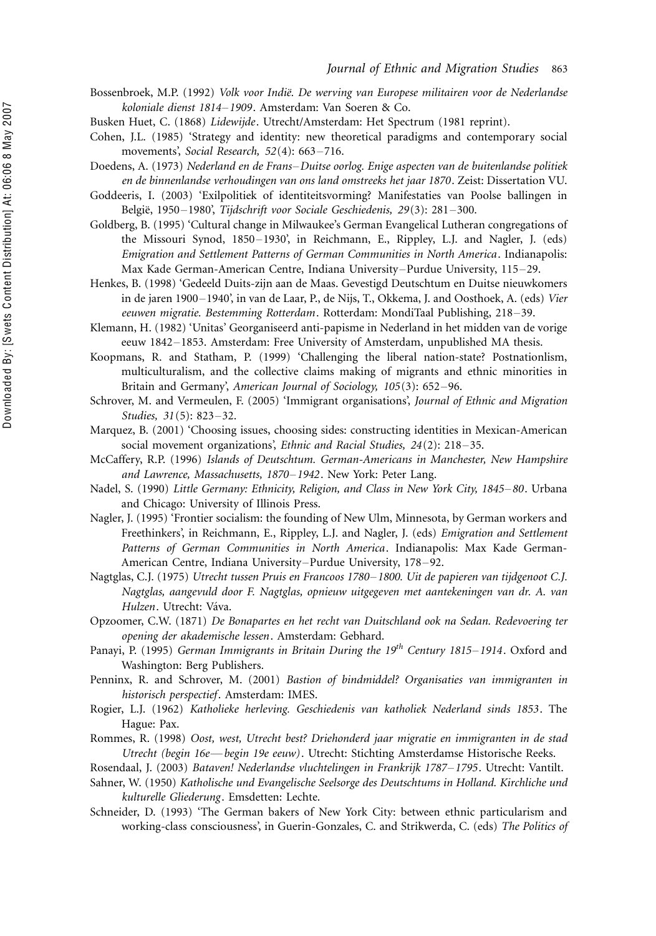- Bossenbroek, M.P. (1992) *Volk voor Indië. De werving van Europese militairen voor de Nederlandse* koloniale dienst 1814-1909. Amsterdam: Van Soeren & Co.
- Busken Huet, C. (1868) Lidewijde. Utrecht/Amsterdam: Het Spectrum (1981 reprint).
- Cohen, J.L. (1985) 'Strategy and identity: new theoretical paradigms and contemporary social movements', Social Research,  $52(4)$ : 663-716.
- Doedens, A. (1973) Nederland en de Frans-Duitse oorlog. Enige aspecten van de buitenlandse politiek en de binnenlandse verhoudingen van ons land omstreeks het jaar 1870. Zeist: Dissertation VU.
- Goddeeris, I. (2003) 'Exilpolitiek of identiteitsvorming? Manifestaties van Poolse ballingen in België, 1950-1980', Tijdschrift voor Sociale Geschiedenis, 29(3): 281-300.
- Goldberg, B. (1995) 'Cultural change in Milwaukee's German Evangelical Lutheran congregations of the Missouri Synod, 1850–1930', in Reichmann, E., Rippley, L.J. and Nagler, J. (eds) Emigration and Settlement Patterns of German Communities in North America. Indianapolis: Max Kade German-American Centre, Indiana University-Purdue University, 115-29.
- Henkes, B. (1998) 'Gedeeld Duits-zijn aan de Maas. Gevestigd Deutschtum en Duitse nieuwkomers in de jaren 1900–1940', in van de Laar, P., de Nijs, T., Okkema, J. and Oosthoek, A. (eds) Vier eeuwen migratie. Bestemming Rotterdam. Rotterdam: MondiTaal Publishing, 218-39.
- Klemann, H. (1982) 'Unitas' Georganiseerd anti-papisme in Nederland in het midden van de vorige eeuw 1842–1853. Amsterdam: Free University of Amsterdam, unpublished MA thesis.
- Koopmans, R. and Statham, P. (1999) 'Challenging the liberal nation-state? Postnationlism, multiculturalism, and the collective claims making of migrants and ethnic minorities in Britain and Germany', American Journal of Sociology, 105(3): 652-96.
- Schrover, M. and Vermeulen, F. (2005) 'Immigrant organisations', Journal of Ethnic and Migration Studies, 31(5): 823-32.
- Marquez, B. (2001) 'Choosing issues, choosing sides: constructing identities in Mexican-American social movement organizations', Ethnic and Racial Studies, 24(2): 218-35.
- McCaffery, R.P. (1996) Islands of Deutschtum. German-Americans in Manchester, New Hampshire and Lawrence, Massachusetts, 1870-1942. New York: Peter Lang.
- Nadel, S. (1990) Little Germany: Ethnicity, Religion, and Class in New York City, 1845–80. Urbana and Chicago: University of Illinois Press.
- Nagler, J. (1995) 'Frontier socialism: the founding of New Ulm, Minnesota, by German workers and Freethinkers', in Reichmann, E., Rippley, L.J. and Nagler, J. (eds) Emigration and Settlement Patterns of German Communities in North America. Indianapolis: Max Kade German-American Centre, Indiana University-Purdue University, 178-92.
- Nagtglas, C.J. (1975) Utrecht tussen Pruis en Francoos 1780-1800. Uit de papieren van tijdgenoot C.J. Nagtglas, aangevuld door F. Nagtglas, opnieuw uitgegeven met aantekeningen van dr. A. van Hulzen. Utrecht: Váva.
- Opzoomer, C.W. (1871) De Bonapartes en het recht van Duitschland ook na Sedan. Redevoering ter opening der akademische lessen. Amsterdam: Gebhard.
- Panayi, P. (1995) German Immigrants in Britain During the  $19^{th}$  Century 1815-1914. Oxford and Washington: Berg Publishers.
- Penninx, R. and Schrover, M. (2001) Bastion of bindmiddel? Organisaties van immigranten in historisch perspectief. Amsterdam: IMES.
- Rogier, L.J. (1962) Katholieke herleving. Geschiedenis van katholiek Nederland sinds 1853. The Hague: Pax.
- Rommes, R. (1998) Oost, west, Utrecht best? Driehonderd jaar migratie en immigranten in de stad Utrecht (begin 16e—begin 19e eeuw). Utrecht: Stichting Amsterdamse Historische Reeks.
- Rosendaal, J. (2003) Bataven! Nederlandse vluchtelingen in Frankrijk 1787–1795. Utrecht: Vantilt.
- Sahner, W. (1950) Katholische und Evangelische Seelsorge des Deutschtums in Holland. Kirchliche und kulturelle Gliederung. Emsdetten: Lechte.
- Schneider, D. (1993) 'The German bakers of New York City: between ethnic particularism and working-class consciousness', in Guerin-Gonzales, C. and Strikwerda, C. (eds) The Politics of